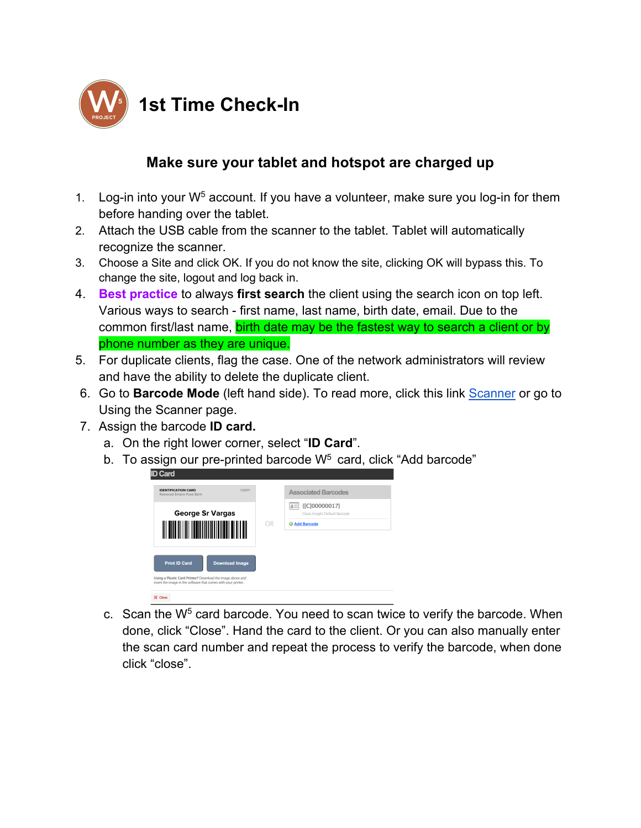

## **1st Time Check-In**

## **Make sure your tablet and hotspot are charged up**

- 1. Log-in into your  $W^5$  account. If you have a volunteer, make sure you log-in for them before handing over the tablet.
- 2. Attach the USB cable from the scanner to the tablet. Tablet will automatically recognize the scanner.
- 3. Choose a Site and click OK. If you do not know the site, clicking OK will bypass this. To change the site, logout and log back in.
- 4. **Best practice** to always **first search** the client using the search icon on top left. Various ways to search - first name, last name, birth date, email. Due to the common first/last name, birth date may be the fastest way to search a client or by phone number as they are unique.
- 5. For duplicate clients, flag the case. One of the network administrators will review and have the ability to delete the duplicate client.
- 6. Go to **Barcode Mode** (left hand side). To read more, click this link Scanner or go to Using the Scanner page.
- 7. Assign the barcode **ID card.**
	- a. On the right lower corner, select "**ID Card**".
	- b. To assign our pre-printed barcode  $W<sup>5</sup>$  card, click "Add barcode"



c. Scan the  $W<sup>5</sup>$  card barcode. You need to scan twice to verify the barcode. When done, click "Close". Hand the card to the client. Or you can also manually enter the scan card number and repeat the process to verify the barcode, when done click "close".